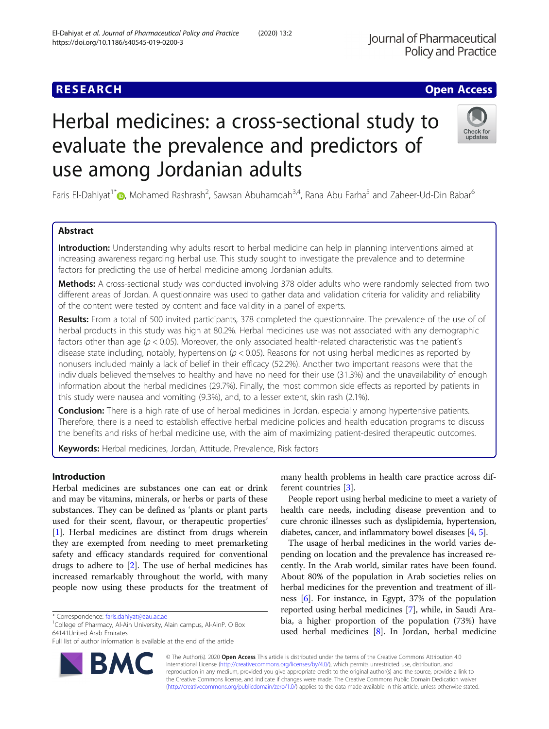# Herbal medicines: a cross-sectional study to evaluate the prevalence and predictors of use among Jordanian adults

Faris El-Dahiyat<sup>1\*</sup> (D, Mohamed Rashrash<sup>2</sup>, Sawsan Abuhamdah<sup>3,4</sup>, Rana Abu Farha<sup>5</sup> and Zaheer-Ud-Din Babar<sup>6</sup>

# Abstract

Introduction: Understanding why adults resort to herbal medicine can help in planning interventions aimed at increasing awareness regarding herbal use. This study sought to investigate the prevalence and to determine factors for predicting the use of herbal medicine among Jordanian adults.

Methods: A cross-sectional study was conducted involving 378 older adults who were randomly selected from two different areas of Jordan. A questionnaire was used to gather data and validation criteria for validity and reliability of the content were tested by content and face validity in a panel of experts.

Results: From a total of 500 invited participants, 378 completed the questionnaire. The prevalence of the use of of herbal products in this study was high at 80.2%. Herbal medicines use was not associated with any demographic factors other than age ( $p < 0.05$ ). Moreover, the only associated health-related characteristic was the patient's disease state including, notably, hypertension ( $p < 0.05$ ). Reasons for not using herbal medicines as reported by nonusers included mainly a lack of belief in their efficacy (52.2%). Another two important reasons were that the individuals believed themselves to healthy and have no need for their use (31.3%) and the unavailability of enough information about the herbal medicines (29.7%). Finally, the most common side effects as reported by patients in this study were nausea and vomiting (9.3%), and, to a lesser extent, skin rash (2.1%).

**Conclusion:** There is a high rate of use of herbal medicines in Jordan, especially among hypertensive patients. Therefore, there is a need to establish effective herbal medicine policies and health education programs to discuss the benefits and risks of herbal medicine use, with the aim of maximizing patient-desired therapeutic outcomes.

Keywords: Herbal medicines, Jordan, Attitude, Prevalence, Risk factors

Introduction

Herbal medicines are substances one can eat or drink and may be vitamins, minerals, or herbs or parts of these substances. They can be defined as 'plants or plant parts used for their scent, flavour, or therapeutic properties' [[1\]](#page-8-0). Herbal medicines are distinct from drugs wherein they are exempted from needing to meet premarketing safety and efficacy standards required for conventional drugs to adhere to [[2\]](#page-8-0). The use of herbal medicines has increased remarkably throughout the world, with many people now using these products for the treatment of

Full list of author information is available at the end of the article

© The Author(s). 2020 **Open Access** This article is distributed under the terms of the Creative Commons Attribution 4.0 International License [\(http://creativecommons.org/licenses/by/4.0/](http://creativecommons.org/licenses/by/4.0/)), which permits unrestricted use, distribution, and reproduction in any medium, provided you give appropriate credit to the original author(s) and the source, provide a link to the Creative Commons license, and indicate if changes were made. The Creative Commons Public Domain Dedication waiver [\(http://creativecommons.org/publicdomain/zero/1.0/](http://creativecommons.org/publicdomain/zero/1.0/)) applies to the data made available in this article, unless otherwise stated.

ferent countries [[3](#page-8-0)].

many health problems in health care practice across dif-

People report using herbal medicine to meet a variety of health care needs, including disease prevention and to cure chronic illnesses such as dyslipidemia, hypertension, diabetes, cancer, and inflammatory bowel diseases [\[4,](#page-8-0) [5](#page-8-0)]. The usage of herbal medicines in the world varies depending on location and the prevalence has increased recently. In the Arab world, similar rates have been found. About 80% of the population in Arab societies relies on herbal medicines for the prevention and treatment of illness [[6](#page-8-0)]. For instance, in Egypt, 37% of the population reported using herbal medicines [\[7](#page-8-0)], while, in Saudi Arabia, a higher proportion of the population (73%) have used herbal medicines [\[8\]](#page-8-0). In Jordan, herbal medicine

\* Correspondence: [faris.dahiyat@aau.ac.ae](mailto:faris.dahiyat@aau.ac.ae) <sup>1</sup>

<sup>1</sup>College of Pharmacy, Al-Ain University, Alain campus, Al-AinP. O Box 64141United Arab Emirates



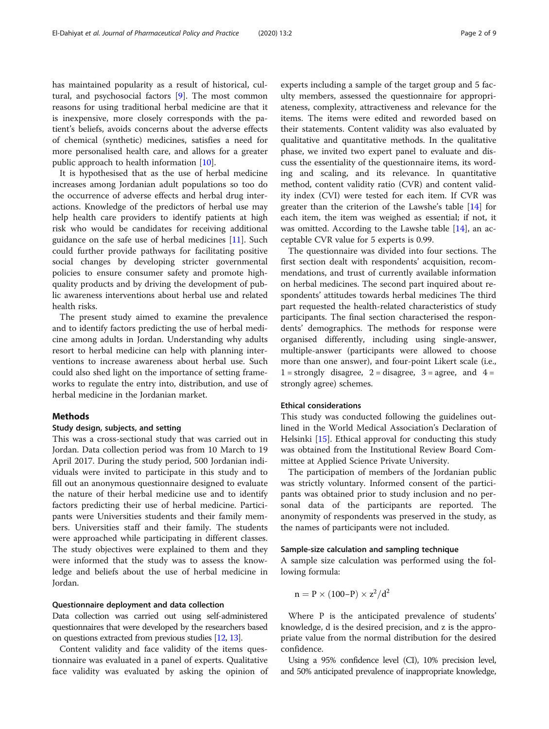has maintained popularity as a result of historical, cultural, and psychosocial factors [\[9](#page-8-0)]. The most common reasons for using traditional herbal medicine are that it is inexpensive, more closely corresponds with the patient's beliefs, avoids concerns about the adverse effects of chemical (synthetic) medicines, satisfies a need for more personalised health care, and allows for a greater public approach to health information [\[10](#page-8-0)].

It is hypothesised that as the use of herbal medicine increases among Jordanian adult populations so too do the occurrence of adverse effects and herbal drug interactions. Knowledge of the predictors of herbal use may help health care providers to identify patients at high risk who would be candidates for receiving additional guidance on the safe use of herbal medicines  $[11]$  $[11]$ . Such could further provide pathways for facilitating positive social changes by developing stricter governmental policies to ensure consumer safety and promote highquality products and by driving the development of public awareness interventions about herbal use and related health risks.

The present study aimed to examine the prevalence and to identify factors predicting the use of herbal medicine among adults in Jordan. Understanding why adults resort to herbal medicine can help with planning interventions to increase awareness about herbal use. Such could also shed light on the importance of setting frameworks to regulate the entry into, distribution, and use of herbal medicine in the Jordanian market.

## **Methods**

## Study design, subjects, and setting

This was a cross-sectional study that was carried out in Jordan. Data collection period was from 10 March to 19 April 2017. During the study period, 500 Jordanian individuals were invited to participate in this study and to fill out an anonymous questionnaire designed to evaluate the nature of their herbal medicine use and to identify factors predicting their use of herbal medicine. Participants were Universities students and their family members. Universities staff and their family. The students were approached while participating in different classes. The study objectives were explained to them and they were informed that the study was to assess the knowledge and beliefs about the use of herbal medicine in Jordan.

#### Questionnaire deployment and data collection

Data collection was carried out using self-administered questionnaires that were developed by the researchers based on questions extracted from previous studies [\[12,](#page-8-0) [13](#page-8-0)].

Content validity and face validity of the items questionnaire was evaluated in a panel of experts. Qualitative face validity was evaluated by asking the opinion of

experts including a sample of the target group and 5 faculty members, assessed the questionnaire for appropriateness, complexity, attractiveness and relevance for the items. The items were edited and reworded based on their statements. Content validity was also evaluated by qualitative and quantitative methods. In the qualitative phase, we invited two expert panel to evaluate and discuss the essentiality of the questionnaire items, its wording and scaling, and its relevance. In quantitative method, content validity ratio (CVR) and content validity index (CVI) were tested for each item. If CVR was greater than the criterion of the Lawshe's table [\[14\]](#page-8-0) for each item, the item was weighed as essential; if not, it was omitted. According to the Lawshe table [\[14](#page-8-0)], an acceptable CVR value for 5 experts is 0.99.

The questionnaire was divided into four sections. The first section dealt with respondents' acquisition, recommendations, and trust of currently available information on herbal medicines. The second part inquired about respondents' attitudes towards herbal medicines The third part requested the health-related characteristics of study participants. The final section characterised the respondents' demographics. The methods for response were organised differently, including using single-answer, multiple-answer (participants were allowed to choose more than one answer), and four-point Likert scale (i.e.,  $1 =$  strongly disagree,  $2 =$  disagree,  $3 =$  agree, and  $4 =$ strongly agree) schemes.

## Ethical considerations

This study was conducted following the guidelines outlined in the World Medical Association's Declaration of Helsinki [\[15](#page-8-0)]. Ethical approval for conducting this study was obtained from the Institutional Review Board Committee at Applied Science Private University.

The participation of members of the Jordanian public was strictly voluntary. Informed consent of the participants was obtained prior to study inclusion and no personal data of the participants are reported. The anonymity of respondents was preserved in the study, as the names of participants were not included.

## Sample-size calculation and sampling technique

A sample size calculation was performed using the following formula:

$$
n=P\times(100\text{--}P)\times z^2/d^2
$$

Where P is the anticipated prevalence of students' knowledge, d is the desired precision, and z is the appropriate value from the normal distribution for the desired confidence.

Using a 95% confidence level (CI), 10% precision level, and 50% anticipated prevalence of inappropriate knowledge,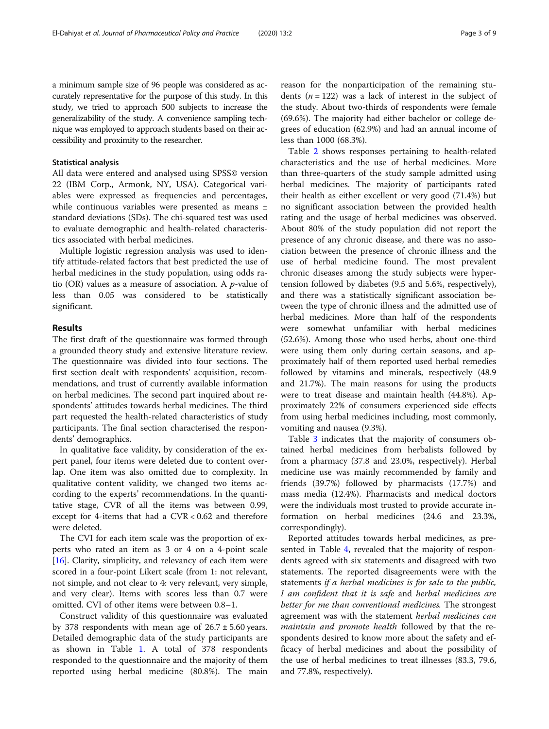a minimum sample size of 96 people was considered as accurately representative for the purpose of this study. In this study, we tried to approach 500 subjects to increase the generalizability of the study. A convenience sampling technique was employed to approach students based on their accessibility and proximity to the researcher.

## Statistical analysis

All data were entered and analysed using SPSS© version 22 (IBM Corp., Armonk, NY, USA). Categorical variables were expressed as frequencies and percentages, while continuous variables were presented as means ± standard deviations (SDs). The chi-squared test was used to evaluate demographic and health-related characteristics associated with herbal medicines.

Multiple logistic regression analysis was used to identify attitude-related factors that best predicted the use of herbal medicines in the study population, using odds ratio (OR) values as a measure of association. A p-value of less than 0.05 was considered to be statistically significant.

## Results

The first draft of the questionnaire was formed through a grounded theory study and extensive literature review. The questionnaire was divided into four sections. The first section dealt with respondents' acquisition, recommendations, and trust of currently available information on herbal medicines. The second part inquired about respondents' attitudes towards herbal medicines. The third part requested the health-related characteristics of study participants. The final section characterised the respondents' demographics.

In qualitative face validity, by consideration of the expert panel, four items were deleted due to content overlap. One item was also omitted due to complexity. In qualitative content validity, we changed two items according to the experts' recommendations. In the quantitative stage, CVR of all the items was between 0.99, except for 4-items that had a CVR < 0.62 and therefore were deleted.

The CVI for each item scale was the proportion of experts who rated an item as 3 or 4 on a 4-point scale [[16\]](#page-8-0). Clarity, simplicity, and relevancy of each item were scored in a four-point Likert scale (from 1: not relevant, not simple, and not clear to 4: very relevant, very simple, and very clear). Items with scores less than 0.7 were omitted. CVI of other items were between 0.8–1.

Construct validity of this questionnaire was evaluated by 378 respondents with mean age of  $26.7 \pm 5.60$  years. Detailed demographic data of the study participants are as shown in Table [1](#page-3-0). A total of 378 respondents responded to the questionnaire and the majority of them reported using herbal medicine (80.8%). The main reason for the nonparticipation of the remaining students ( $n = 122$ ) was a lack of interest in the subject of the study. About two-thirds of respondents were female (69.6%). The majority had either bachelor or college degrees of education (62.9%) and had an annual income of less than 1000 (68.3%).

Table [2](#page-4-0) shows responses pertaining to health-related characteristics and the use of herbal medicines. More than three-quarters of the study sample admitted using herbal medicines. The majority of participants rated their health as either excellent or very good (71.4%) but no significant association between the provided health rating and the usage of herbal medicines was observed. About 80% of the study population did not report the presence of any chronic disease, and there was no association between the presence of chronic illness and the use of herbal medicine found. The most prevalent chronic diseases among the study subjects were hypertension followed by diabetes (9.5 and 5.6%, respectively), and there was a statistically significant association between the type of chronic illness and the admitted use of herbal medicines. More than half of the respondents were somewhat unfamiliar with herbal medicines (52.6%). Among those who used herbs, about one-third were using them only during certain seasons, and approximately half of them reported used herbal remedies followed by vitamins and minerals, respectively (48.9 and 21.7%). The main reasons for using the products were to treat disease and maintain health (44.8%). Approximately 22% of consumers experienced side effects from using herbal medicines including, most commonly, vomiting and nausea (9.3%).

Table [3](#page-5-0) indicates that the majority of consumers obtained herbal medicines from herbalists followed by from a pharmacy (37.8 and 23.0%, respectively). Herbal medicine use was mainly recommended by family and friends (39.7%) followed by pharmacists (17.7%) and mass media (12.4%). Pharmacists and medical doctors were the individuals most trusted to provide accurate information on herbal medicines (24.6 and 23.3%, correspondingly).

Reported attitudes towards herbal medicines, as presented in Table [4](#page-6-0), revealed that the majority of respondents agreed with six statements and disagreed with two statements. The reported disagreements were with the statements if a herbal medicines is for sale to the public, I am confident that it is safe and herbal medicines are better for me than conventional medicines. The strongest agreement was with the statement herbal medicines can maintain and promote health followed by that the respondents desired to know more about the safety and efficacy of herbal medicines and about the possibility of the use of herbal medicines to treat illnesses (83.3, 79.6, and 77.8%, respectively).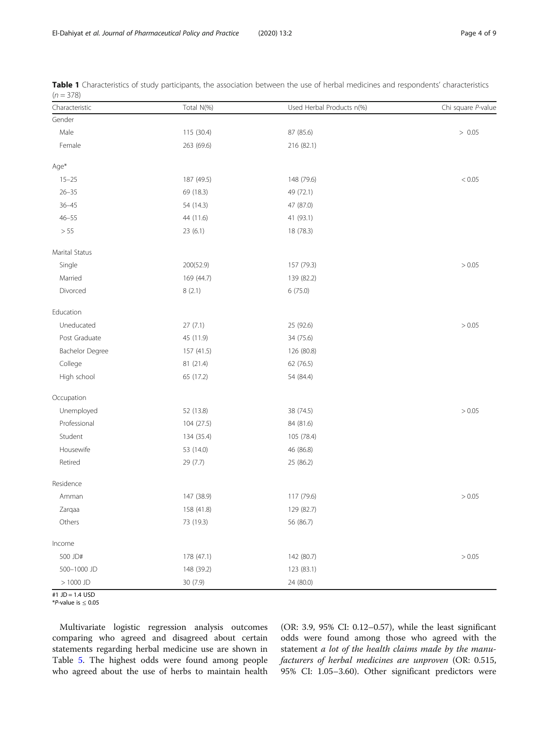| Characteristic         | Total N(%) | Used Herbal Products n(%) | Chi square P-value |
|------------------------|------------|---------------------------|--------------------|
| Gender                 |            |                           |                    |
| Male                   | 115 (30.4) | 87 (85.6)                 | > 0.05             |
| Female                 | 263 (69.6) | 216 (82.1)                |                    |
| Age*                   |            |                           |                    |
| $15 - 25$              | 187 (49.5) | 148 (79.6)                | $< 0.05$           |
| $26 - 35$              | 69 (18.3)  | 49 (72.1)                 |                    |
| $36 - 45$              | 54 (14.3)  | 47 (87.0)                 |                    |
| $46 - 55$              | 44 (11.6)  | 41 (93.1)                 |                    |
| $>55$                  | 23(6.1)    | 18 (78.3)                 |                    |
| Marital Status         |            |                           |                    |
| Single                 | 200(52.9)  | 157 (79.3)                | > 0.05             |
| Married                | 169 (44.7) | 139 (82.2)                |                    |
| Divorced               | 8(2.1)     | 6(75.0)                   |                    |
| Education              |            |                           |                    |
| Uneducated             | 27(7.1)    | 25 (92.6)                 | > 0.05             |
| Post Graduate          | 45 (11.9)  | 34 (75.6)                 |                    |
| <b>Bachelor Degree</b> | 157 (41.5) | 126 (80.8)                |                    |
| College                | 81 (21.4)  | 62 (76.5)                 |                    |
| High school            | 65 (17.2)  | 54 (84.4)                 |                    |
| Occupation             |            |                           |                    |
| Unemployed             | 52 (13.8)  | 38 (74.5)                 | > 0.05             |
| Professional           | 104 (27.5) | 84 (81.6)                 |                    |
| Student                | 134 (35.4) | 105 (78.4)                |                    |
| Housewife              | 53 (14.0)  | 46 (86.8)                 |                    |
| Retired                | 29 (7.7)   | 25 (86.2)                 |                    |
| Residence              |            |                           |                    |
| Amman                  | 147 (38.9) | 117 (79.6)                | > 0.05             |
| Zarqaa                 | 158 (41.8) | 129 (82.7)                |                    |
| Others                 | 73 (19.3)  | 56 (86.7)                 |                    |
| Income                 |            |                           |                    |
| 500 JD#                | 178 (47.1) | 142 (80.7)                | > 0.05             |
| 500-1000 JD            | 148 (39.2) | 123 (83.1)                |                    |
| $>1000$ JD             | 30 (7.9)   | 24 (80.0)                 |                    |

<span id="page-3-0"></span>

|             | Table 1 Characteristics of study participants, the association between the use of herbal medicines and respondents' characteristics |  |  |  |  |
|-------------|-------------------------------------------------------------------------------------------------------------------------------------|--|--|--|--|
| $(n = 378)$ |                                                                                                                                     |  |  |  |  |

#1 JD = 1.4 USD

\*P-value is  $\leq 0.05$ 

Multivariate logistic regression analysis outcomes comparing who agreed and disagreed about certain statements regarding herbal medicine use are shown in Table [5.](#page-6-0) The highest odds were found among people who agreed about the use of herbs to maintain health

(OR: 3.9, 95% CI: 0.12–0.57), while the least significant odds were found among those who agreed with the statement a lot of the health claims made by the manufacturers of herbal medicines are unproven (OR: 0.515, 95% CI: 1.05–3.60). Other significant predictors were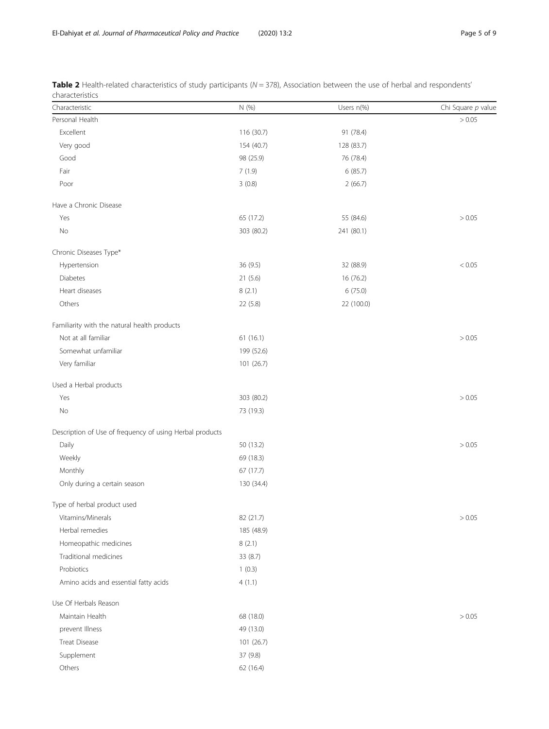| Characteristic                                           | N (%)      | Users n(%) | Chi Square p value |
|----------------------------------------------------------|------------|------------|--------------------|
| Personal Health                                          |            |            | > 0.05             |
| Excellent                                                | 116 (30.7) | 91 (78.4)  |                    |
| Very good                                                | 154 (40.7) | 128 (83.7) |                    |
| Good                                                     | 98 (25.9)  | 76 (78.4)  |                    |
| Fair                                                     | 7(1.9)     | 6(85.7)    |                    |
| Poor                                                     | 3(0.8)     | 2(66.7)    |                    |
| Have a Chronic Disease                                   |            |            |                    |
| Yes                                                      | 65 (17.2)  | 55 (84.6)  | > 0.05             |
| No                                                       | 303 (80.2) | 241 (80.1) |                    |
| Chronic Diseases Type*                                   |            |            |                    |
| Hypertension                                             | 36 (9.5)   | 32 (88.9)  | < 0.05             |
| <b>Diabetes</b>                                          | 21(5.6)    | 16 (76.2)  |                    |
| Heart diseases                                           | 8(2.1)     | 6(75.0)    |                    |
| Others                                                   | 22 (5.8)   | 22 (100.0) |                    |
| Familiarity with the natural health products             |            |            |                    |
| Not at all familiar                                      | 61(16.1)   |            | > 0.05             |
| Somewhat unfamiliar                                      | 199 (52.6) |            |                    |
| Very familiar                                            | 101 (26.7) |            |                    |
| Used a Herbal products                                   |            |            |                    |
| Yes                                                      | 303 (80.2) |            | > 0.05             |
| No                                                       | 73 (19.3)  |            |                    |
| Description of Use of frequency of using Herbal products |            |            |                    |
| Daily                                                    | 50 (13.2)  |            | > 0.05             |
| Weekly                                                   | 69 (18.3)  |            |                    |
| Monthly                                                  | 67 (17.7)  |            |                    |
| Only during a certain season                             | 130 (34.4) |            |                    |
| Type of herbal product used                              |            |            |                    |
| Vitamins/Minerals                                        | 82 (21.7)  |            | > 0.05             |
| Herbal remedies                                          | 185 (48.9) |            |                    |
| Homeopathic medicines                                    | 8(2.1)     |            |                    |
| Traditional medicines                                    | 33 (8.7)   |            |                    |
| Probiotics                                               | 1(0.3)     |            |                    |
| Amino acids and essential fatty acids                    | 4(1.1)     |            |                    |
| Use Of Herbals Reason                                    |            |            |                    |
| Maintain Health                                          | 68 (18.0)  |            | > 0.05             |
| prevent Illness                                          | 49 (13.0)  |            |                    |
| Treat Disease                                            | 101 (26.7) |            |                    |
| Supplement                                               | 37 (9.8)   |            |                    |
| Others                                                   | 62 (16.4)  |            |                    |

<span id="page-4-0"></span>

|                 | Table 2 Health-related characteristics of study participants (N = 378), Association between the use of herbal and respondents' |  |  |  |  |  |
|-----------------|--------------------------------------------------------------------------------------------------------------------------------|--|--|--|--|--|
| characteristics |                                                                                                                                |  |  |  |  |  |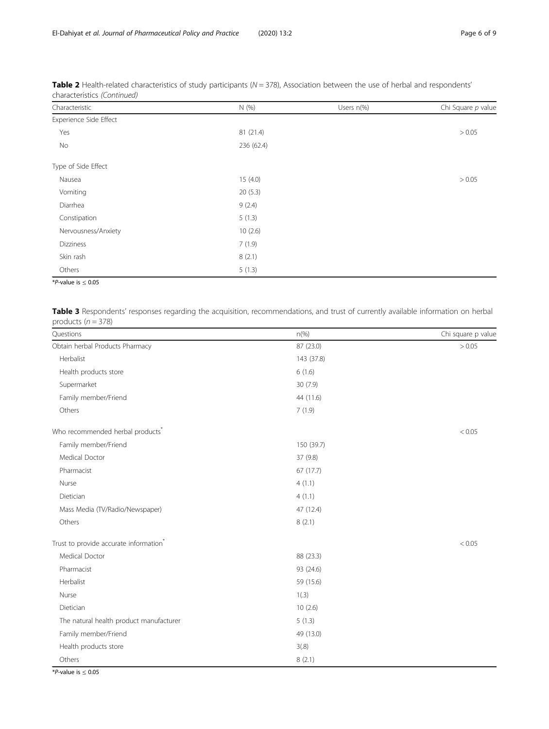| Characteristic         | N (%)      | Users n(%) | Chi Square p value |
|------------------------|------------|------------|--------------------|
| Experience Side Effect |            |            |                    |
| Yes                    | 81 (21.4)  |            | > 0.05             |
| No                     | 236 (62.4) |            |                    |
| Type of Side Effect    |            |            |                    |
| Nausea                 | 15(4.0)    |            | > 0.05             |
| Vomiting               | 20(5.3)    |            |                    |
| Diarrhea               | 9(2.4)     |            |                    |
| Constipation           | 5(1.3)     |            |                    |
| Nervousness/Anxiety    | 10(2.6)    |            |                    |
| <b>Dizziness</b>       | 7(1.9)     |            |                    |
| Skin rash              | 8(2.1)     |            |                    |
| Others                 | 5(1.3)     |            |                    |

<span id="page-5-0"></span>Table 2 Health-related characteristics of study participants ( $N = 378$ ), Association between the use of herbal and respondents' characteristics (Continued)

\*P-value is  $\leq 0.05$ 

Table 3 Respondents' responses regarding the acquisition, recommendations, and trust of currently available information on herbal products  $(n = 378)$ 

| Questions                                          | $n\left(\%\right)$ | Chi square p value |
|----------------------------------------------------|--------------------|--------------------|
| Obtain herbal Products Pharmacy                    | 87 (23.0)          | > 0.05             |
| Herbalist                                          | 143 (37.8)         |                    |
| Health products store                              | 6(1.6)             |                    |
| Supermarket                                        | 30(7.9)            |                    |
| Family member/Friend                               | 44 (11.6)          |                    |
| Others                                             | 7(1.9)             |                    |
| Who recommended herbal products <sup>*</sup>       |                    | < 0.05             |
| Family member/Friend                               | 150 (39.7)         |                    |
| Medical Doctor                                     | 37 (9.8)           |                    |
| Pharmacist                                         | 67 (17.7)          |                    |
| Nurse                                              | 4(1.1)             |                    |
| Dietician                                          | 4(1.1)             |                    |
| Mass Media (TV/Radio/Newspaper)                    | 47 (12.4)          |                    |
| Others                                             | 8(2.1)             |                    |
| Trust to provide accurate information <sup>*</sup> |                    | < 0.05             |
| Medical Doctor                                     | 88 (23.3)          |                    |
| Pharmacist                                         | 93 (24.6)          |                    |
| Herbalist                                          | 59 (15.6)          |                    |
| Nurse                                              | 1(.3)              |                    |
| Dietician                                          | 10(2.6)            |                    |
| The natural health product manufacturer            | 5(1.3)             |                    |
| Family member/Friend                               | 49 (13.0)          |                    |
| Health products store                              | 3(0.8)             |                    |
| Others                                             | 8(2.1)             |                    |

\*P-value is  $\leq 0.05$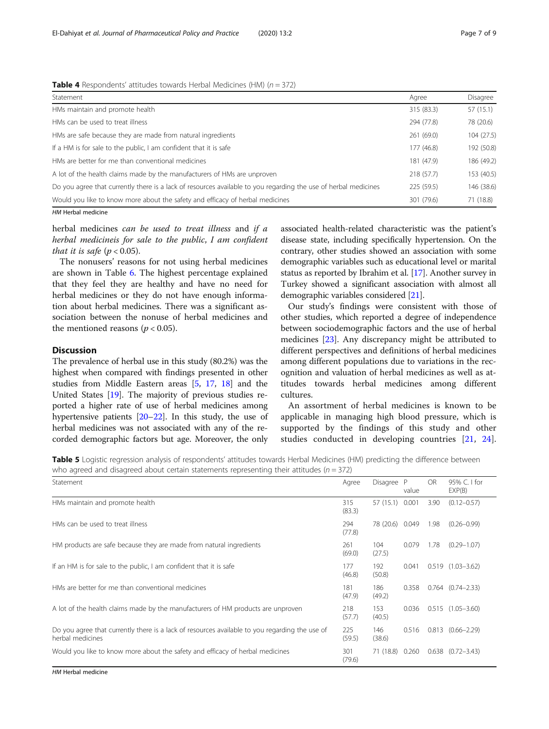| Statement                                                                                                       | Agree      | Disagree   |
|-----------------------------------------------------------------------------------------------------------------|------------|------------|
| HMs maintain and promote health                                                                                 | 315 (83.3) | 57 (15.1)  |
| HMs can be used to treat illness                                                                                | 294 (77.8) | 78 (20.6)  |
| HMs are safe because they are made from natural ingredients                                                     | 261 (69.0) | 104 (27.5) |
| If a HM is for sale to the public, I am confident that it is safe                                               | 177 (46.8) | 192 (50.8) |
| HMs are better for me than conventional medicines                                                               | 181 (47.9) | 186 (49.2) |
| A lot of the health claims made by the manufacturers of HMs are unproven                                        | 218 (57.7) | 153 (40.5) |
| Do you agree that currently there is a lack of resources available to you regarding the use of herbal medicines | 225 (59.5) | 146 (38.6) |
| Would you like to know more about the safety and efficacy of herbal medicines                                   | 301 (79.6) | 71 (18.8)  |

<span id="page-6-0"></span>**Table 4** Respondents' attitudes towards Herbal Medicines (HM)  $(n = 372)$ 

HM Herbal medicine

herbal medicines *can be used to treat illness* and *if a* herbal medicineis for sale to the public, I am confident that it is safe ( $p < 0.05$ ).

The nonusers' reasons for not using herbal medicines are shown in Table [6.](#page-7-0) The highest percentage explained that they feel they are healthy and have no need for herbal medicines or they do not have enough information about herbal medicines. There was a significant association between the nonuse of herbal medicines and the mentioned reasons ( $p < 0.05$ ).

## **Discussion**

The prevalence of herbal use in this study (80.2%) was the highest when compared with findings presented in other studies from Middle Eastern areas [\[5,](#page-8-0) [17,](#page-8-0) [18\]](#page-8-0) and the United States [\[19\]](#page-8-0). The majority of previous studies reported a higher rate of use of herbal medicines among hypertensive patients [\[20](#page-8-0)–[22](#page-8-0)]. In this study, the use of herbal medicines was not associated with any of the recorded demographic factors but age. Moreover, the only associated health-related characteristic was the patient's disease state, including specifically hypertension. On the contrary, other studies showed an association with some demographic variables such as educational level or marital status as reported by Ibrahim et al. [\[17\]](#page-8-0). Another survey in Turkey showed a significant association with almost all demographic variables considered [[21](#page-8-0)].

Our study's findings were consistent with those of other studies, which reported a degree of independence between sociodemographic factors and the use of herbal medicines [[23\]](#page-8-0). Any discrepancy might be attributed to different perspectives and definitions of herbal medicines among different populations due to variations in the recognition and valuation of herbal medicines as well as attitudes towards herbal medicines among different cultures.

An assortment of herbal medicines is known to be applicable in managing high blood pressure, which is supported by the findings of this study and other studies conducted in developing countries [\[21](#page-8-0), [24](#page-8-0)].

Table 5 Logistic regression analysis of respondents' attitudes towards Herbal Medicines (HM) predicting the difference between who agreed and disagreed about certain statements representing their attitudes ( $n = 372$ )

| Statement                                                                                                          | Agree         | Disagree        | P<br>value | <b>OR</b> | 95% C. I for<br>EXP(B) |
|--------------------------------------------------------------------------------------------------------------------|---------------|-----------------|------------|-----------|------------------------|
| HMs maintain and promote health                                                                                    | 315<br>(83.3) | 57 (15.1) 0.001 |            | 3.90      | $(0.12 - 0.57)$        |
| HMs can be used to treat illness                                                                                   | 294<br>(77.8) | 78 (20.6) 0.049 |            | 1.98      | $(0.26 - 0.99)$        |
| HM products are safe because they are made from natural ingredients                                                | 261<br>(69.0) | 104<br>(27.5)   | 0.079      | 1.78      | $(0.29 - 1.07)$        |
| If an HM is for sale to the public, I am confident that it is safe                                                 | 177<br>(46.8) | 192<br>(50.8)   | 0.041      |           | $0.519$ $(1.03-3.62)$  |
| HMs are better for me than conventional medicines                                                                  | 181<br>(47.9) | 186<br>(49.2)   | 0.358      |           | $0.764$ $(0.74-2.33)$  |
| A lot of the health claims made by the manufacturers of HM products are unproven                                   | 218<br>(57.7) | 153<br>(40.5)   | 0.036      |           | $0.515$ $(1.05-3.60)$  |
| Do you agree that currently there is a lack of resources available to you regarding the use of<br>herbal medicines | 225<br>(59.5) | 146<br>(38.6)   | 0.516      | 0.813     | $(0.66 - 2.29)$        |
| Would you like to know more about the safety and efficacy of herbal medicines                                      | 301<br>(79.6) | 71 (18.8) 0.260 |            |           | $0.638$ $(0.72-3.43)$  |

HM Herbal medicine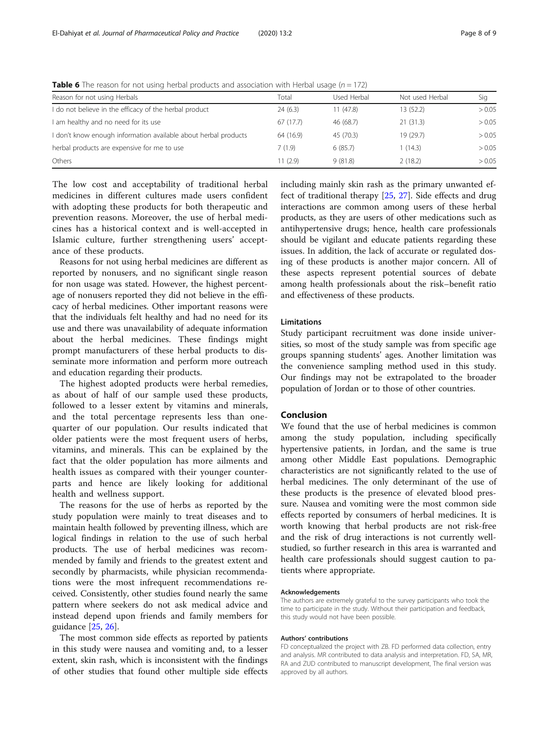| Reason for not using Herbals                                    | Total     | Used Herbal | Not used Herbal | Sig    |
|-----------------------------------------------------------------|-----------|-------------|-----------------|--------|
| I do not believe in the efficacy of the herbal product          | 24(6.3)   | 11(47.8)    | 13 (52.2)       | > 0.05 |
| I am healthy and no need for its use                            | 67(17.7)  | 46 (68.7)   | 21(31.3)        | > 0.05 |
| I don't know enough information available about herbal products | 64 (16.9) | 45 (70.3)   | 19 (29.7)       | > 0.05 |
| herbal products are expensive for me to use                     | 7(1.9)    | 6(85.7)     | 1(14.3)         | > 0.05 |
| Others                                                          | 11(2.9)   | 9(81.8)     | 2(18.2)         | > 0.05 |

<span id="page-7-0"></span>**Table 6** The reason for not using herbal products and association with Herbal usage ( $n = 172$ )

The low cost and acceptability of traditional herbal medicines in different cultures made users confident with adopting these products for both therapeutic and prevention reasons. Moreover, the use of herbal medicines has a historical context and is well-accepted in Islamic culture, further strengthening users' acceptance of these products.

Reasons for not using herbal medicines are different as reported by nonusers, and no significant single reason for non usage was stated. However, the highest percentage of nonusers reported they did not believe in the efficacy of herbal medicines. Other important reasons were that the individuals felt healthy and had no need for its use and there was unavailability of adequate information about the herbal medicines. These findings might prompt manufacturers of these herbal products to disseminate more information and perform more outreach and education regarding their products.

The highest adopted products were herbal remedies, as about of half of our sample used these products, followed to a lesser extent by vitamins and minerals, and the total percentage represents less than onequarter of our population. Our results indicated that older patients were the most frequent users of herbs, vitamins, and minerals. This can be explained by the fact that the older population has more ailments and health issues as compared with their younger counterparts and hence are likely looking for additional health and wellness support.

The reasons for the use of herbs as reported by the study population were mainly to treat diseases and to maintain health followed by preventing illness, which are logical findings in relation to the use of such herbal products. The use of herbal medicines was recommended by family and friends to the greatest extent and secondly by pharmacists, while physician recommendations were the most infrequent recommendations received. Consistently, other studies found nearly the same pattern where seekers do not ask medical advice and instead depend upon friends and family members for guidance [\[25](#page-8-0), [26\]](#page-8-0).

The most common side effects as reported by patients in this study were nausea and vomiting and, to a lesser extent, skin rash, which is inconsistent with the findings of other studies that found other multiple side effects including mainly skin rash as the primary unwanted effect of traditional therapy [\[25](#page-8-0), [27](#page-8-0)]. Side effects and drug interactions are common among users of these herbal products, as they are users of other medications such as antihypertensive drugs; hence, health care professionals should be vigilant and educate patients regarding these issues. In addition, the lack of accurate or regulated dosing of these products is another major concern. All of these aspects represent potential sources of debate among health professionals about the risk–benefit ratio and effectiveness of these products.

## Limitations

Study participant recruitment was done inside universities, so most of the study sample was from specific age groups spanning students' ages. Another limitation was the convenience sampling method used in this study. Our findings may not be extrapolated to the broader population of Jordan or to those of other countries.

## Conclusion

We found that the use of herbal medicines is common among the study population, including specifically hypertensive patients, in Jordan, and the same is true among other Middle East populations. Demographic characteristics are not significantly related to the use of herbal medicines. The only determinant of the use of these products is the presence of elevated blood pressure. Nausea and vomiting were the most common side effects reported by consumers of herbal medicines. It is worth knowing that herbal products are not risk-free and the risk of drug interactions is not currently wellstudied, so further research in this area is warranted and health care professionals should suggest caution to patients where appropriate.

#### Acknowledgements

The authors are extremely grateful to the survey participants who took the time to participate in the study. Without their participation and feedback, this study would not have been possible.

#### Authors' contributions

FD conceptualized the project with ZB. FD performed data collection, entry and analysis. MR contributed to data analysis and interpretation. FD, SA, MR, RA and ZUD contributed to manuscript development, The final version was approved by all authors.